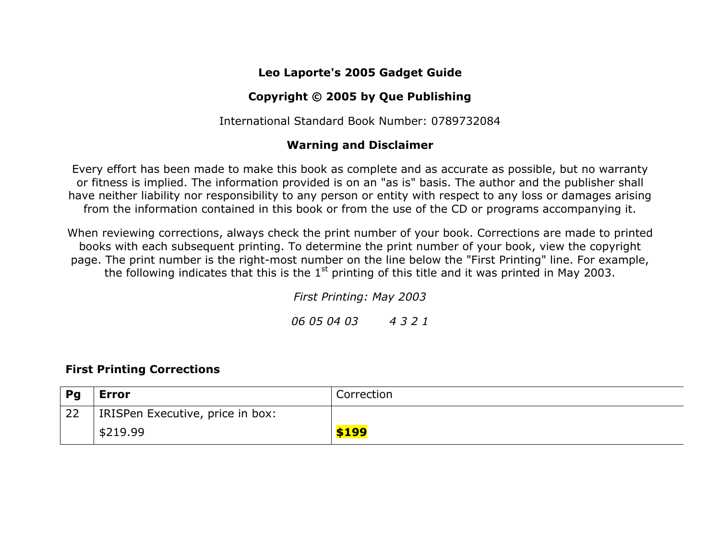## **Leo Laporte's 2005 Gadget Guide**

## **Copyright © 2005 by Que Publishing**

International Standard Book Number: 0789732084

## **Warning and Disclaimer**

Every effort has been made to make this book as complete and as accurate as possible, but no warranty or fitness is implied. The information provided is on an "as is" basis. The author and the publisher shall have neither liability nor responsibility to any person or entity with respect to any loss or damages arising from the information contained in this book or from the use of the CD or programs accompanying it.

When reviewing corrections, always check the print number of your book. Corrections are made to printed books with each subsequent printing. To determine the print number of your book, view the copyright page. The print number is the right-most number on the line below the "First Printing" line. For example, the following indicates that this is the  $1<sup>st</sup>$  printing of this title and it was printed in May 2003.

*First Printing: May 2003*

*06 05 04 03 4 3 2 1*

## **First Printing Corrections**

| Pa | <b>Error</b>                     | Correction |
|----|----------------------------------|------------|
| 22 | IRISPen Executive, price in box: |            |
|    | \$219.99                         | \$199      |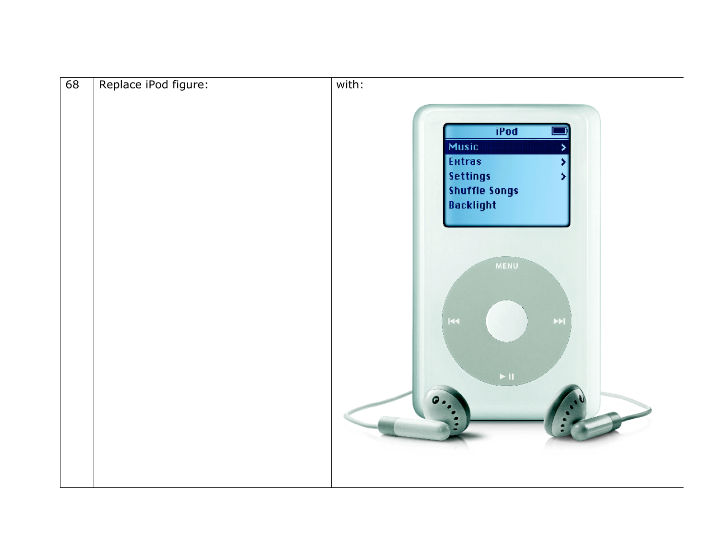